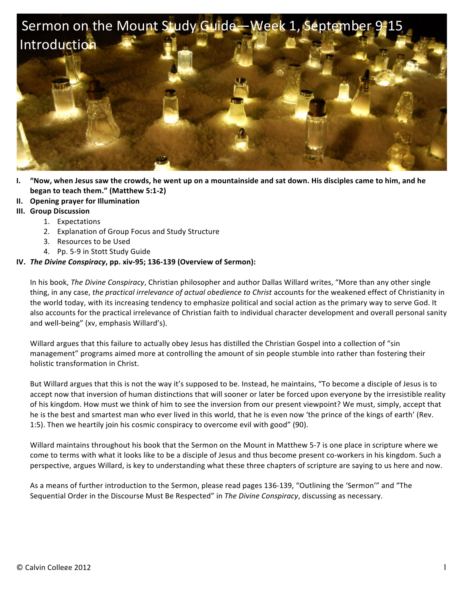

- **I.** "Now, when Jesus saw the crowds, he went up on a mountainside and sat down. His disciples came to him, and he **began to teach them."** (Matthew 5:1-2)
- **II. Opening prayer for Illumination**
- **III.** Group Discussion
	- 1. Expectations
	- 2. Explanation of Group Focus and Study Structure
	- 3. Resources to be Used
	- 4. Pp. 5-9 in Stott Study Guide

## **IV.** *The Divine Conspiracy*, pp. xiv-95; 136-139 (Overview of Sermon):

In his book, The Divine Conspiracy, Christian philosopher and author Dallas Willard writes, "More than any other single thing, in any case, the practical irrelevance of actual obedience to Christ accounts for the weakened effect of Christianity in the world today, with its increasing tendency to emphasize political and social action as the primary way to serve God. It also accounts for the practical irrelevance of Christian faith to individual character development and overall personal sanity and well-being" (xv, emphasis Willard's).

Willard argues that this failure to actually obey Jesus has distilled the Christian Gospel into a collection of "sin management" programs aimed more at controlling the amount of sin people stumble into rather than fostering their holistic transformation in Christ.

But Willard argues that this is not the way it's supposed to be. Instead, he maintains, "To become a disciple of Jesus is to accept now that inversion of human distinctions that will sooner or later be forced upon everyone by the irresistible reality of his kingdom. How must we think of him to see the inversion from our present viewpoint? We must, simply, accept that he is the best and smartest man who ever lived in this world, that he is even now 'the prince of the kings of earth' (Rev. 1:5). Then we heartily join his cosmic conspiracy to overcome evil with good" (90).

Willard maintains throughout his book that the Sermon on the Mount in Matthew 5-7 is one place in scripture where we come to terms with what it looks like to be a disciple of Jesus and thus become present co-workers in his kingdom. Such a perspective, argues Willard, is key to understanding what these three chapters of scripture are saying to us here and now.

As a means of further introduction to the Sermon, please read pages 136-139, "Outlining the 'Sermon'" and "The Sequential Order in the Discourse Must Be Respected" in The Divine Conspiracy, discussing as necessary.